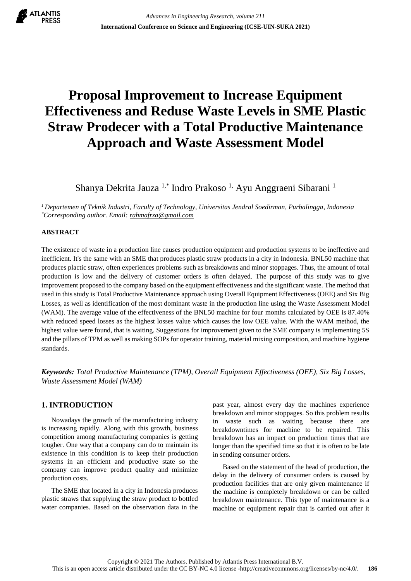

# **Proposal Improvement to Increase Equipment Effectiveness and Reduse Waste Levels in SME Plastic Straw Prodecer with a Total Productive Maintenance Approach and Waste Assessment Model**

Shanya Dekrita Jauza<sup>1,\*</sup> Indro Prakoso<sup>1,</sup> Ayu Anggraeni Sibarani<sup>1</sup>

*<sup>1</sup>Departemen of Teknik Industri, Faculty of Technology, Universitas Jendral Soedirman, Purbalingga, Indonesia \*Corresponding author. Email: rahmafrza@gmail.com*

## **ABSTRACT**

The existence of waste in a production line causes production equipment and production systems to be ineffective and inefficient. It's the same with an SME that produces plastic straw products in a city in Indonesia. BNL50 machine that produces plactic straw, often experiences problems such as breakdowns and minor stoppages. Thus, the amount of total production is low and the delivery of customer orders is often delayed. The purpose of this study was to give improvement proposed to the company based on the equipment effectiveness and the significant waste. The method that used in this study is Total Productive Maintenance approach using Overall Equipment Effectiveness (OEE) and Six Big Losses, as well as identification of the most dominant waste in the production line using the Waste Assessment Model (WAM). The average value of the effectiveness of the BNL50 machine for four months calculated by OEE is 87.40% with reduced speed losses as the highest losses value which causes the low OEE value. With the WAM method, the highest value were found, that is waiting. Suggestions for improvement given to the SME company is implementing 5S and the pillars of TPM as well as making SOPs for operator training, material mixing composition, and machine hygiene standards.

*Keywords: Total Productive Maintenance (TPM), Overall Equipment Effectiveness (OEE), Six Big Losses, Waste Assessment Model (WAM)*

## **1. INTRODUCTION**

Nowadays the growth of the manufacturing industry is increasing rapidly. Along with this growth, business competition among manufacturing companies is getting tougher. One way that a company can do to maintain its existence in this condition is to keep their production systems in an efficient and productive state so the company can improve product quality and minimize production costs.

The SME that located in a city in Indonesia produces plastic straws that supplying the straw product to bottled water companies. Based on the observation data in the past year, almost every day the machines experience breakdown and minor stoppages. So this problem results in waste such as waiting because there are breakdowntimes for machine to be repaired. This breakdown has an impact on production times that are longer than the specified time so that it is often to be late in sending consumer orders.

Based on the statement of the head of production, the delay in the delivery of consumer orders is caused by production facilities that are only given maintenance if the machine is completely breakdown or can be called breakdown maintenance. This type of maintenance is a machine or equipment repair that is carried out after it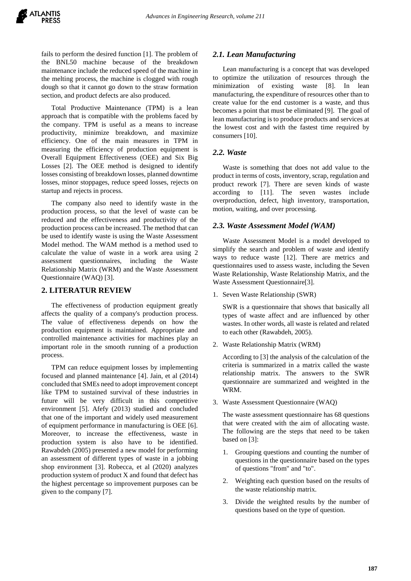fails to perform the desired function [1]. The problem of the BNL50 machine because of the breakdown maintenance include the reduced speed of the machine in the melting process, the machine is clogged with rough dough so that it cannot go down to the straw formation section, and product defects are also produced.

Total Productive Maintenance (TPM) is a lean approach that is compatible with the problems faced by the company. TPM is useful as a means to increase productivity, minimize breakdown, and maximize efficiency. One of the main measures in TPM in measuring the efficiency of production equipment is Overall Equipment Effectiveness (OEE) and Six Big Losses [2]. The OEE method is designed to identify losses consisting of breakdown losses, planned downtime losses, minor stoppages, reduce speed losses, rejects on startup and rejects in process.

The company also need to identify waste in the production process, so that the level of waste can be reduced and the effectiveness and productivity of the production process can be increased. The method that can be used to identify waste is using the Waste Assessment Model method. The WAM method is a method used to calculate the value of waste in a work area using 2 assessment questionnaires, including the Waste Relationship Matrix (WRM) and the Waste Assessment Questionnaire (WAQ) [3].

## **2. LITERATUR REVIEW**

The effectiveness of production equipment greatly affects the quality of a company's production process. The value of effectiveness depends on how the production equipment is maintained. Appropriate and controlled maintenance activities for machines play an important role in the smooth running of a production process.

TPM can reduce equipment losses by implementing focused and planned maintenance [4]. Jain, et al (2014) concluded that SMEs need to adopt improvement concept like TPM to sustained survival of these industries in future will be very difficult in this competitive environment [5]. Afefy (2013) studied and concluded that one of the important and widely used measurement of equipment performance in manufacturing is OEE [6]. Moreover, to increase the effectiveness, waste in production system is also have to be identified. Rawabdeh (2005) presented a new model for performing an assessment of different types of waste in a jobbing shop environment [3]. Robecca, et al (2020) analyzes production system of product X and found that defect has the highest percentage so improvement purposes can be given to the company [7].

## *2.1. Lean Manufacturing*

Lean manufacturing is a concept that was developed to optimize the utilization of resources through the minimization of existing waste [8]. In lean manufacturing, the expenditure of resources other than to create value for the end customer is a waste, and thus becomes a point that must be eliminated [9]. The goal of lean manufacturing is to produce products and services at the lowest cost and with the fastest time required by consumers [10].

## *2.2. Waste*

Waste is something that does not add value to the product in terms of costs, inventory, scrap, regulation and product rework [7]. There are seven kinds of waste according to [11]. The seven wastes include overproduction, defect, high inventory, transportation, motion, waiting, and over processing.

## *2.3. Waste Assessment Model (WAM)*

Waste Assessment Model is a model developed to simplify the search and problem of waste and identify ways to reduce waste [12]. There are metrics and questionnaires used to assess waste, including the Seven Waste Relationship, Waste Relationship Matrix, and the Waste Assessment Questionnaire[3].

1. Seven Waste Relationship (SWR)

SWR is a questionnaire that shows that basically all types of waste affect and are influenced by other wastes. In other words, all waste is related and related to each other (Rawabdeh, 2005).

2. Waste Relationship Matrix (WRM)

According to [3] the analysis of the calculation of the criteria is summarized in a matrix called the waste relationship matrix. The answers to the SWR questionnaire are summarized and weighted in the WRM.

3. Waste Assessment Questionnaire (WAQ)

The waste assessment questionnaire has 68 questions that were created with the aim of allocating waste. The following are the steps that need to be taken based on [3]:

- 1. Grouping questions and counting the number of questions in the questionnaire based on the types of questions "from" and "to".
- 2. Weighting each question based on the results of the waste relationship matrix.
- 3. Divide the weighted results by the number of questions based on the type of question.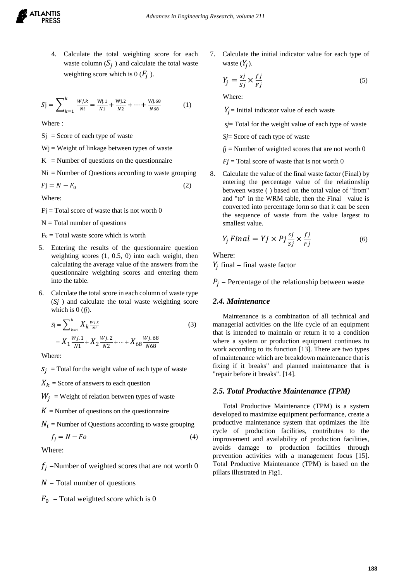

4. Calculate the total weighting score for each waste column  $(S_j)$  and calculate the total waste weighting score which is  $0(F_j)$ .

$$
Sj = \sum_{k=1}^{k} \frac{Wj.k}{Ni} = \frac{Wj.1}{N1} + \frac{Wj.2}{N2} + \dots + \frac{Wj.68}{N68}
$$
 (1)

Where :

- $Si = Score of each type of waste$
- $Wj$  = Weight of linkage between types of waste
- $K =$  Number of questions on the questionnaire
- $Ni = Number of Questions according to waste grouping$

$$
Fj = N - F_0 \tag{2}
$$

Where:

 $Fi = Total score of waste that is not worth 0$ 

 $N = Total number of questions$ 

 $F_0$  = Total waste score which is worth

- 5. Entering the results of the questionnaire question weighting scores (1, 0.5, 0) into each weight, then calculating the average value of the answers from the questionnaire weighting scores and entering them into the table.
- 6. Calculate the total score in each column of waste type (*Sj* ) and calculate the total waste weighting score which is 0 (*fj*).

$$
Sj = \sum_{k=1}^{k} X_k \frac{Wj.k}{N!}
$$
  
=  $X_1 \frac{Wj.1}{N1} + X_2 \frac{Wj.2}{N2} + \dots + X_{68} \frac{Wj.68}{N68}$  (3)

Where:

 $S_j$  = Total for the weight value of each type of waste

 $X_k$  = Score of answers to each question

 $W_i$  = Weight of relation between types of waste

 $K =$  Number of questions on the questionnaire

 $N_i$  = Number of Questions according to waste grouping

$$
f_j = N - Fo \tag{4}
$$

Where:

 $f_i$  =Number of weighted scores that are not worth 0

 $N =$  Total number of questions

 $F_0$  = Total weighted score which is 0

7. Calculate the initial indicator value for each type of waste  $(Y_j)$ .

$$
Y_j = \frac{s_j}{s_j} \times \frac{f_j}{F_j} \tag{5}
$$

Where:

 $Y_i$  Initial indicator value of each waste

*sj*= Total for the weight value of each type of waste

*Sj*= Score of each type of waste

 $f_j$  = Number of weighted scores that are not worth 0

 $Fj$  = Total score of waste that is not worth 0

8. Calculate the value of the final waste factor (Final) by entering the percentage value of the relationship between waste ( ) based on the total value of "from" and "to" in the WRM table, then the Final value is converted into percentage form so that it can be seen the sequence of waste from the value largest to smallest value.

$$
Y_j \text{Final} = Yj \times Pj \frac{sj}{sj} \times \frac{fj}{Fj} \tag{6}
$$

Where:

 $Y_j$  final = final waste factor

 $P_i$  = Percentage of the relationship between waste

# *2.4. Maintenance*

Maintenance is a combination of all technical and managerial activities on the life cycle of an equipment that is intended to maintain or return it to a condition where a system or production equipment continues to work according to its function [13]. There are two types of maintenance which are breakdown maintenance that is fixing if it breaks" and planned maintenance that is "repair before it breaks". [14].

#### *2.5. Total Productive Maintenance (TPM)*

Total Productive Maintenance (TPM) is a system developed to maximize equipment performance, create a productive maintenance system that optimizes the life cycle of production facilities, contributes to the improvement and availability of production facilities, avoids damage to production facilities through prevention activities with a management focus [15]. Total Productive Maintenance (TPM) is based on the pillars illustrated in Fig1.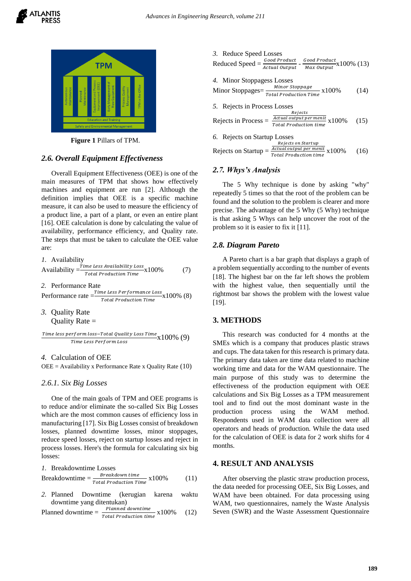

**Figure 1** Pillars of TPM.

#### *2.6. Overall Equipment Effectiveness*

Overall Equipment Effectiveness (OEE) is one of the main measures of TPM that shows how effectively machines and equipment are run [2]. Although the definition implies that OEE is a specific machine measure, it can also be used to measure the efficiency of a product line, a part of a plant, or even an entire plant [16]. OEE calculation is done by calculating the value of availability, performance efficiency, and Quality rate. The steps that must be taken to calculate the OEE value are:

*I.* Availableility  
Availability =
$$
\frac{Time \text{ Less Availableity Loss}}{Total Production Time} \times 100\%
$$
 (7)

*2.* Performance Rate

Performance rate  $=\frac{Time\text{ }less\text{ }Performance\text{ }loss}{Total\text{ }Platation\text{ }Time\text{ }x}$   $x100\%$  (8) **Total Production Time** 

*3.* Quality Rate Quality Rate  $=$ 

$$
\frac{Time\ less\ perform\ loss\ -Total\ Quality\ Loss\ Time}{Time\ Less\ Perform\ loss} \times 100\%\ (9)
$$

#### *4.* Calculation of OEE

 $OEE =$  Availability x Performance Rate x Quality Rate  $(10)$ 

#### *2.6.1. Six Big Losses*

One of the main goals of TPM and OEE programs is to reduce and/or eliminate the so-called Six Big Losses which are the most common causes of efficiency loss in manufacturing [17]. Six Big Losses consist of breakdown losses, planned downtime losses, minor stoppages, reduce speed losses, reject on startup losses and reject in process losses. Here's the formula for calculating six big losses:

1. Breakdowntime Losses

\nBreakdowntime = 
$$
\frac{Breakdowntime}{Total Production Time} \times 100\%
$$
 (11)

*2.* Planned Downtime (kerugian karena waktu downtime yang ditentukan)

Planned downtime = 
$$
\frac{Planned\ downtime}{Total\ Production\ time} \times 100\% \qquad (12)
$$

| 3. Reduce Speed Losses                                                                                     |      |
|------------------------------------------------------------------------------------------------------------|------|
| Reduced Speed = $\frac{Good Product}{Actual Output}$ - $\frac{Good Product}{Max Output}$ x100% (13)        |      |
|                                                                                                            |      |
| 4. Minor Stoppagess Losses<br>Minor Stoppages= $\frac{Minor\ Stoppage}{Total\ Production\ Time} \ge 100\%$ | (14) |
| 5. Rejects in Process Losses                                                                               |      |
| Rejects                                                                                                    |      |
| $\frac{Actual \ output \ per \ menit{it}}{Total \ Production \ time} \ x100\%$<br>Rejects in Process $=$   | (15) |
|                                                                                                            |      |
| 6. Rejects on Startup Losses<br>Rejects on Startup                                                         |      |
|                                                                                                            |      |
| Rejects on Startup $=$ $\frac{\overline{Actual~output~per~ment}}{\text{Total~Production~time}}$ x100%      |      |

#### *2.7. Whys's Analysis*

The 5 Why technique is done by asking "why" repeatedly 5 times so that the root of the problem can be found and the solution to the problem is clearer and more precise. The advantage of the 5 Why (5 Why) technique is that asking 5 Whys can help uncover the root of the problem so it is easier to fix it [11].

## *2.8. Diagram Pareto*

A Pareto chart is a bar graph that displays a graph of a problem sequentially according to the number of events [18]. The highest bar on the far left shows the problem with the highest value, then sequentially until the rightmost bar shows the problem with the lowest value [19].

### **3. METHODS**

This research was conducted for 4 months at the SMEs which is a company that produces plastic straws and cups. The data taken for this research is primary data. The primary data taken are time data related to machine working time and data for the WAM questionnaire. The main purpose of this study was to determine the effectiveness of the production equipment with OEE calculations and Six Big Losses as a TPM measurement tool and to find out the most dominant waste in the production process using the WAM method. Respondents used in WAM data collection were all operators and heads of production. While the data used for the calculation of OEE is data for 2 work shifts for 4 months.

#### **4. RESULT AND ANALYSIS**

After observing the plastic straw production process, the data needed for processing OEE, Six Big Losses, and WAM have been obtained. For data processing using WAM, two questionnaires, namely the Waste Analysis Seven (SWR) and the Waste Assessment Questionnaire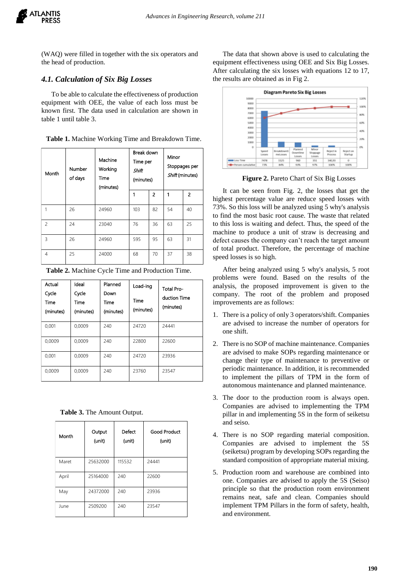

(WAQ) were filled in together with the six operators and the head of production.

## *4.1. Calculation of Six Big Losses*

To be able to calculate the effectiveness of production equipment with OEE, the value of each loss must be known first. The data used in calculation are shown in table 1 until table 3.

| Month          | Number<br>of days | Machine<br>Working<br>Shift<br>Time<br>(minutes)<br>1 |     | Break down<br>Time per<br>(minutes) | Minor<br>Stoppages per<br>Shift (minutes) |                |
|----------------|-------------------|-------------------------------------------------------|-----|-------------------------------------|-------------------------------------------|----------------|
|                |                   |                                                       |     | $\overline{c}$                      | 1                                         | $\overline{c}$ |
|                | 26                | 24960                                                 | 103 | 82                                  | 54                                        | 40             |
| $\mathcal{P}$  | 24                | 23040                                                 | 76  | 36                                  | 63                                        | 25             |
| $\overline{3}$ | 26                | 24960                                                 | 595 | 95                                  | 63                                        | 31             |
| 4              | 25                | 24000                                                 | 68  | 70                                  | 37                                        | 38             |

| Table 2. Machine Cycle Time and Production Time. |  |  |  |  |  |  |  |  |
|--------------------------------------------------|--|--|--|--|--|--|--|--|
|--------------------------------------------------|--|--|--|--|--|--|--|--|

| Actual<br>Cycle<br>Time<br>(minutes) | Ideal<br>Cycle<br>Time<br>(minutes) | Planned<br>Down<br>Time<br>(minutes) | Load-ing<br>Time<br>(minutes) | Total Pro-<br>duction Time<br>(minutes) |
|--------------------------------------|-------------------------------------|--------------------------------------|-------------------------------|-----------------------------------------|
| 0,001                                | 0,0009                              | 240                                  | 24720                         | 24441                                   |
| 0,0009                               | 0,0009                              | 240                                  | 22800                         | 22600                                   |
| 0.001                                | 0,0009                              | 240                                  | 24720                         | 23936                                   |
| 0.0009                               | 0.0009                              | 240                                  | 23760                         | 23547                                   |

**Table 3.** The Amount Output.

| Month | Output<br>(unit) | Defect<br>(unit) | <b>Good Product</b><br>(unit) |
|-------|------------------|------------------|-------------------------------|
| Maret | 25632000         | 115532           | 24441                         |
| April | 25164000         | 240              | 22600                         |
| May   | 24372000         | 240              | 23936                         |
| June  | 2509200          | 240              | 23547                         |

The data that shown above is used to calculating the equipment effectiveness using OEE and Six Big Losses. After calculating the six losses with equations 12 to 17, the results are obtained as in Fig 2.



**Figure 2.** Pareto Chart of Six Big Losses

It can be seen from Fig. 2, the losses that get the highest percentage value are reduce speed losses with 73%. So this loss will be analyzed using 5 why's analysis to find the most basic root cause. The waste that related to this loss is waiting and defect. Thus, the speed of the machine to produce a unit of straw is decreasing and defect causes the company can't reach the target amount of total product. Therefore, the percentage of machine speed losses is so high.

After being analyzed using 5 why's analysis, 5 root problems were found. Based on the results of the analysis, the proposed improvement is given to the company. The root of the problem and proposed improvements are as follows:

- 1. There is a policy of only 3 operators/shift. Companies are advised to increase the number of operators for one shift.
- 2. There is no SOP of machine maintenance. Companies are advised to make SOPs regarding maintenance or change their type of maintenance to preventive or periodic maintenance. In addition, it is recommended to implement the pillars of TPM in the form of autonomous maintenance and planned maintenance.
- 3. The door to the production room is always open. Companies are advised to implementing the TPM pillar in and implementing 5S in the form of seiketsu and seiso.
- 4. There is no SOP regarding material composition. Companies are advised to implement the 5S (seiketsu) program by developing SOPs regarding the standard composition of appropriate material mixing.
- 5. Production room and warehouse are combined into one. Companies are advised to apply the 5S (Seiso) principle so that the production room environment remains neat, safe and clean. Companies should implement TPM Pillars in the form of safety, health, and environment.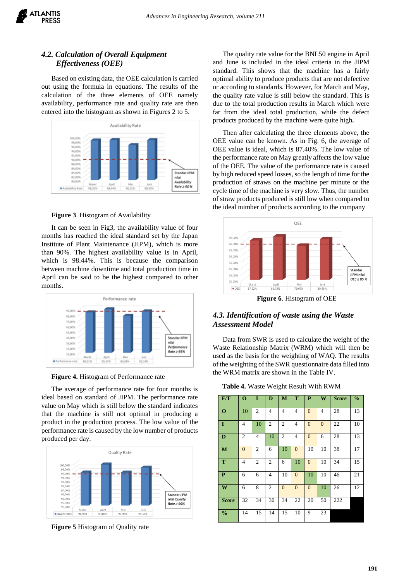

# *4.2. Calculation of Overall Equipment Effectiveness (OEE)*

Based on existing data, the OEE calculation is carried out using the formula in equations. The results of the calculation of the three elements of OEE namely availability, performance rate and quality rate are then entered into the histogram as shown in Figures 2 to 5.



#### **Figure 3**. Histogram of Availability

It can be seen in Fig3, the availability value of four months has reached the ideal standard set by the Japan Institute of Plant Maintenance (JIPM), which is more than 90%. The highest availability value is in April, which is 98.44%. This is because the comparison between machine downtime and total production time in April can be said to be the highest compared to other months.



**Figure 4.** Histogram of Performance rate

The average of performance rate for four months is ideal based on standard of JIPM. The performance rate value on May which is still below the standard indicates that the machine is still not optimal in producing a product in the production process. The low value of the performance rate is caused by the low number of products produced per day.



**Figure 5** Histogram of Quality rate

The quality rate value for the BNL50 engine in April and June is included in the ideal criteria in the JIPM standard. This shows that the machine has a fairly optimal ability to produce products that are not defective or according to standards. However, for March and May, the quality rate value is still below the standard. This is due to the total production results in March which were far from the ideal total production, while the defect products produced by the machine were quite high*.*

Then after calculating the three elements above, the OEE value can be known. As in Fig. 6, the average of OEE value is ideal, which is 87.40%. The low value of the performance rate on May greatly affects the low value of the OEE. The value of the performance rate is caused by high reduced speed losses, so the length of time for the production of straws on the machine per minute or the cycle time of the machine is very slow. Thus, the number of straw products produced is still low when compared to the ideal number of products according to the company



**Figure 6**. Histogram of OEE

## *4.3. Identification of waste using the Waste Assessment Model*

Data from SWR is used to calculate the weight of the Waste Relationship Matrix (WRM) which will then be used as the basis for the weighting of WAQ. The results of the weighting of the SWR questionnaire data filled into the WRM matrix are shown in the Table IV.

**Table 4.** Waste Weight Result With RWM

| F/T           | $\mathbf 0$    | I              | D              | M              | T              | $\mathbf{P}$   | W              | <b>Score</b> | $\frac{0}{0}$ |
|---------------|----------------|----------------|----------------|----------------|----------------|----------------|----------------|--------------|---------------|
| $\mathbf 0$   | 10             | $\overline{2}$ | $\overline{4}$ | $\overline{4}$ | $\overline{4}$ | $\overline{0}$ | $\overline{4}$ | 28           | 13            |
| I             | $\overline{4}$ | 10             | $\overline{2}$ | 2              | $\overline{4}$ | $\overline{0}$ | $\mathbf{0}$   | 22           | 10            |
| D             | $\overline{2}$ | $\overline{4}$ | 10             | $\overline{2}$ | $\overline{4}$ | $\overline{0}$ | 6              | 28           | 13            |
| M             | $\mathbf{0}$   | $\overline{2}$ | 6              | 10             | $\overline{0}$ | 10             | 10             | 38           | 17            |
| T             | $\overline{4}$ | $\overline{2}$ | $\overline{2}$ | 6              | 10             | $\overline{0}$ | 10             | 34           | 15            |
| P             | 6              | 6              | $\overline{4}$ | 10             | $\overline{0}$ | 10             | 10             | 46           | 21            |
| W             | 6              | 8              | $\overline{2}$ | $\overline{0}$ | $\overline{0}$ | $\overline{0}$ | 10             | 26           | 12            |
| <b>Score</b>  | 32             | 34             | 30             | 34             | 22             | 20             | 50             | 222          |               |
| $\frac{0}{0}$ | 14             | 15             | 14             | 15             | 10             | 9              | 23             |              |               |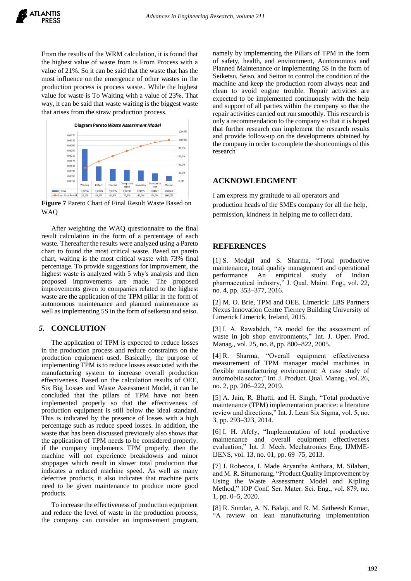From the results of the WRM calculation, it is found that the highest value of waste from is From Process with a value of 21%. So it can be said that the waste that has the most influence on the emergence of other wastes in the production process is process waste.. While the highest value for waste is To Waiting with a value of 23%. That way, it can be said that waste waiting is the biggest waste that arises from the straw production process.



**Figure 7** Pareto Chart of Final Result Waste Based on WAQ

After weighting the WAQ questionnaire to the final result calculation in the form of a percentage of each waste. Thereafter the results were analyzed using a Pareto chart to found the most critical waste. Based on pareto chart, waiting is the most critical waste with 73% final percentage. To provide suggestions for improvement, the highest waste is analyzed with 5 why's analysis and then proposed improvements are made. The proposed improvements given to companies related to the highest waste are the application of the TPM pillar in the form of autonomous maintenance and planned maintenance as well as implementing 5S in the form of seiketsu and seiso.

## *5.* **CONCLUTION**

The application of TPM is expected to reduce losses in the production process and reduce constraints on the production equipment used. Basically, the purpose of implementing TPM is to reduce losses associated with the manufacturing system to increase overall production effectiveness. Based on the calculation results of OEE, Six Big Losses and Waste Assessment Model, it can be concluded that the pillars of TPM have not been implemented properly so that the effectiveness of production equipment is still below the ideal standard. This is indicated by the presence of losses with a high percentage such as reduce speed losses. In addition, the waste that has been discussed previously also shows that the application of TPM needs to be considered properly. if the company implements TPM properly, then the machine will not experience breakdowns and minor stoppages which result in slower total production that indicates a reduced machine speed. As well as many defective products, it also indicates that machine parts need to be given maintenance to produce more good products.

To increase the effectiveness of production equipment and reduce the level of waste in the production process, the company can consider an improvement program,

namely by implementing the Pillars of TPM in the form of safety, health, and environment, Auntonomous and Planned Maintenance or implementing 5S in the form of Seiketsu, Seiso, and Seiton to control the condition of the machine and keep the production room always neat and clean to avoid engine trouble. Repair activities are expected to be implemented continuously with the help and support of all parties within the company so that the repair activities carried out run smoothly. This research is only a recommendation to the company so that it is hoped that further research can implement the research results and provide follow-up on the developments obtained by the company in order to complete the shortcomings of this research

#### **ACKNOWLEDGMENT**

I am express my gratitude to all operators and production heads of the SMEs company for all the help, permission, kindness in helping me to collect data.

#### **REFERENCES**

[1] S. Modgil and S. Sharma, "Total productive maintenance, total quality management and operational performance An empirical study of Indian pharmaceutical industry," J. Qual. Maint. Eng., vol. 22, no. 4, pp. 353–377, 2016.

[2] M. O. Brie, TPM and OEE. Limerick: LBS Partners Nexus Innovation Centre Tierney Building University of Limerick Limerick, Ireland, 2015.

[3] I. A. Rawabdeh, "A model for the assessment of waste in job shop environments," Int. J. Oper. Prod. Manag., vol. 25, no. 8, pp. 800–822, 2005.

[4] R. Sharma, "Overall equipment effectiveness measurement of TPM manager model machines in flexible manufacturing environment: A case study of automobile sector," Int. J. Product. Qual. Manag., vol. 26, no. 2, pp. 206–222, 2019.

[5] A. Jain, R. Bhatti, and H. Singh, "Total productive maintenance (TPM) implementation practice: a literature review and directions," Int. J. Lean Six Sigma, vol. 5, no. 3, pp. 293–323, 2014.

[6] I. H. Afefy, "Implementation of total productive maintenance and overall equipment effectiveness evaluation," Int. J. Mech. Mechatronics Eng. IJMME-IJENS, vol. 13, no. 01, pp. 69–75, 2013.

[7] J. Robecca, I. Made Aryantha Anthara, M. Silaban, and M. R. Situmorang, "Product Quality Improvement by Using the Waste Assessment Model and Kipling Method," IOP Conf. Ser. Mater. Sci. Eng., vol. 879, no. 1, pp. 0–5, 2020.

[8] R. Sundar, A. N. Balaji, and R. M. Satheesh Kumar, "A review on lean manufacturing implementation